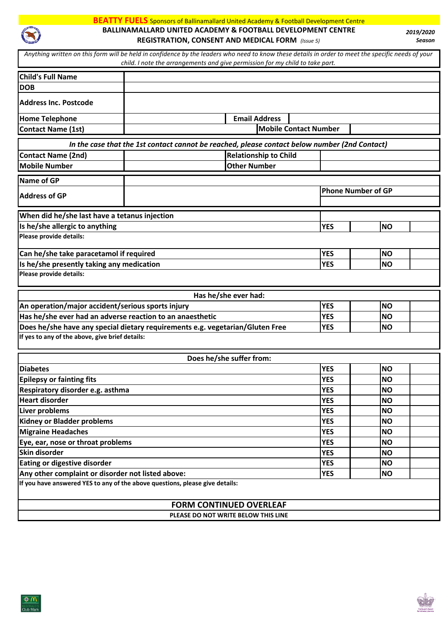

## **BEATTY FUELS** Sponsors of Ballinamallard United Academy & Football Development Centre **BALLINAMALLARD UNITED ACADEMY & FOOTBALL DEVELOPMENT CENTRE REGISTRATION, CONSENT AND MEDICAL FORM** *(Issue 5)*

*2019/2020 Season*

| Child's Full Name                                                             |                                                                                                                               |            |                           |  |  |  |
|-------------------------------------------------------------------------------|-------------------------------------------------------------------------------------------------------------------------------|------------|---------------------------|--|--|--|
| <b>DOB</b>                                                                    |                                                                                                                               |            |                           |  |  |  |
| <b>Address Inc. Postcode</b>                                                  |                                                                                                                               |            |                           |  |  |  |
| <b>Home Telephone</b>                                                         | <b>Email Address</b>                                                                                                          |            |                           |  |  |  |
| <b>Contact Name (1st)</b>                                                     | <b>Mobile Contact Number</b>                                                                                                  |            |                           |  |  |  |
|                                                                               |                                                                                                                               |            |                           |  |  |  |
|                                                                               | In the case that the 1st contact cannot be reached, please contact below number (2nd Contact)<br><b>Relationship to Child</b> |            |                           |  |  |  |
| <b>Contact Name (2nd)</b><br><b>Mobile Number</b>                             | <b>Other Number</b>                                                                                                           |            |                           |  |  |  |
|                                                                               |                                                                                                                               |            |                           |  |  |  |
| Name of GP                                                                    |                                                                                                                               |            |                           |  |  |  |
| <b>Address of GP</b>                                                          |                                                                                                                               |            | <b>Phone Number of GP</b> |  |  |  |
| When did he/she last have a tetanus injection                                 |                                                                                                                               |            |                           |  |  |  |
| Is he/she allergic to anything                                                |                                                                                                                               | <b>YES</b> | <b>NO</b>                 |  |  |  |
| Please provide details:                                                       |                                                                                                                               |            |                           |  |  |  |
| Can he/she take paracetamol if required                                       |                                                                                                                               | <b>YES</b> | <b>NO</b>                 |  |  |  |
| Is he/she presently taking any medication                                     |                                                                                                                               | <b>YES</b> | <b>NO</b>                 |  |  |  |
| Please provide details:                                                       |                                                                                                                               |            |                           |  |  |  |
|                                                                               | Has he/she ever had:                                                                                                          |            |                           |  |  |  |
| An operation/major accident/serious sports injury                             |                                                                                                                               |            | <b>NO</b>                 |  |  |  |
| Has he/she ever had an adverse reaction to an anaesthetic                     |                                                                                                                               |            | <b>NO</b>                 |  |  |  |
| Does he/she have any special dietary requirements e.g. vegetarian/Gluten Free |                                                                                                                               |            | <b>NO</b>                 |  |  |  |
| If yes to any of the above, give brief details:                               |                                                                                                                               |            |                           |  |  |  |
|                                                                               | Does he/she suffer from:                                                                                                      |            |                           |  |  |  |
| <b>Diabetes</b>                                                               |                                                                                                                               | <b>YES</b> | <b>NO</b>                 |  |  |  |
| <b>Epilepsy or fainting fits</b>                                              |                                                                                                                               | <b>YES</b> | <b>NO</b>                 |  |  |  |
| Respiratory disorder e.g. asthma                                              |                                                                                                                               | <b>YES</b> | <b>NO</b>                 |  |  |  |
| <b>Heart disorder</b>                                                         |                                                                                                                               | <b>YES</b> | <b>NO</b>                 |  |  |  |
| Liver problems                                                                |                                                                                                                               | <b>YES</b> | <b>NO</b>                 |  |  |  |
| <b>Kidney or Bladder problems</b>                                             |                                                                                                                               |            | <b>NO</b>                 |  |  |  |
| <b>Migraine Headaches</b>                                                     |                                                                                                                               |            | <b>NO</b>                 |  |  |  |
| Eye, ear, nose or throat problems                                             |                                                                                                                               |            | <b>NO</b>                 |  |  |  |
| Skin disorder                                                                 | <b>YES</b>                                                                                                                    | <b>NO</b>  |                           |  |  |  |
| Eating or digestive disorder                                                  | <b>YES</b><br><b>YES</b>                                                                                                      | <b>NO</b>  |                           |  |  |  |
| Any other complaint or disorder not listed above:                             |                                                                                                                               |            | <b>NO</b>                 |  |  |  |
| If you have answered YES to any of the above questions, please give details:  |                                                                                                                               |            |                           |  |  |  |
|                                                                               |                                                                                                                               |            |                           |  |  |  |
|                                                                               | <b>FORM CONTINUED OVERLEAF</b>                                                                                                |            |                           |  |  |  |